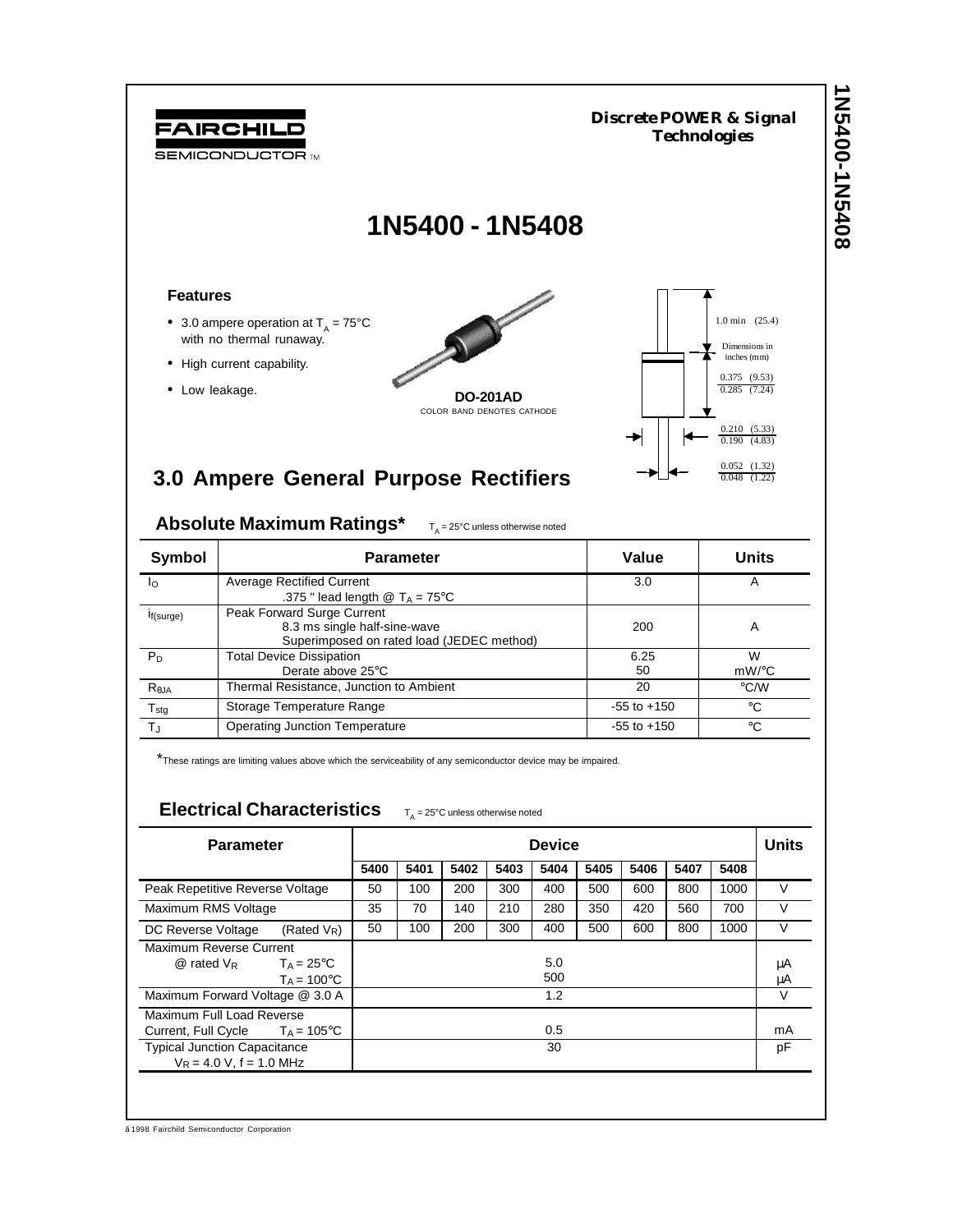1N2400-1N5408 **1N5400-1N5408** *Discrete POWER & Signal* FAIRCHILD *Technologies* **SEMICONDUCTOR TM 1N5400 - 1N5408 Features** 1.0 min (25.4) • 3.0 ampere operation at  $T_A = 75^{\circ}$ C with no thermal runaway. Dimensions in inches (mm)• High current capability. 0.375 (9.53) • Low leakage. **DO-201AD** 0.285 (7.24) COLOR BAND DENOTES CATHODE 0.210 (5.33) 0.190 (4.83) 0.052 (1.32) 0.048 (1.22) **3.0 Ampere General Purpose Rectifiers**

Absolute Maximum Ratings\*  $T_{\text{A}} = 25^{\circ}$ C unless otherwise noted

| Symbol           | <b>Parameter</b>                                           | Value           | Units       |  |  |
|------------------|------------------------------------------------------------|-----------------|-------------|--|--|
| $I_{\Omega}$     | <b>Average Rectified Current</b>                           | 3.0             | Α           |  |  |
|                  | .375 " lead length $\textcircled{a}$ T <sub>A</sub> = 75°C |                 |             |  |  |
| If(surge)        | Peak Forward Surge Current                                 |                 |             |  |  |
|                  | 8.3 ms single half-sine-wave                               | 200             | Α           |  |  |
|                  | Superimposed on rated load (JEDEC method)                  |                 |             |  |  |
| $P_D$            | <b>Total Device Dissipation</b>                            | 6.25            | W           |  |  |
|                  | Derate above $25^{\circ}$ C                                | 50              | $mW$ /°C    |  |  |
| $R_{\theta$ JA   | Thermal Resistance, Junction to Ambient                    | 20              | °C/W        |  |  |
| $T_{\text{stg}}$ | Storage Temperature Range                                  | $-55$ to $+150$ | °C          |  |  |
| $T_{\rm J}$      | <b>Operating Junction Temperature</b>                      | $-55$ to $+150$ | $^{\circ}C$ |  |  |

\*These ratings are limiting values above which the serviceability of any semiconductor device may be impaired.

## Electrical Characteristics  $T_A = 25^\circ$ C unless otherwise noted

| <b>Parameter</b>                                        |                      | <b>Device</b> |      |      |      |      |      |        | <b>Units</b> |        |        |
|---------------------------------------------------------|----------------------|---------------|------|------|------|------|------|--------|--------------|--------|--------|
|                                                         |                      | 5400          | 5401 | 5402 | 5403 | 5404 | 5405 | 5406   | 5407         | 5408   |        |
| Peak Repetitive Reverse Voltage                         | 50                   | 100           | 200  | 300  | 400  | 500  | 600  | 800    | 1000         | V      |        |
| Maximum RMS Voltage                                     | 35                   | 70            | 140  | 210  | 280  | 350  | 420  | 560    | 700          | $\vee$ |        |
| DC Reverse Voltage                                      | (Rated $V_R$ )       | 50            | 100  | 200  | 300  | 400  | 500  | 600    | 800          | 1000   | $\vee$ |
| Maximum Reverse Current                                 |                      |               |      |      |      |      |      |        |              |        |        |
| $\omega$ rated $V_R$ T <sub>A</sub> = 25 <sup>°</sup> C |                      |               |      |      |      | 5.0  |      |        |              |        | μA     |
|                                                         | $T_A = 100^{\circ}C$ |               |      |      |      | 500  |      |        |              |        | μA     |
| Maximum Forward Voltage @ 3.0 A                         | 1.2                  |               |      |      |      |      |      | $\vee$ |              |        |        |
| Maximum Full Load Reverse                               |                      |               |      |      |      |      |      |        |              |        |        |
| Current, Full Cycle $T_A = 105^{\circ}$ C               | 0.5                  |               |      |      |      |      | mA   |        |              |        |        |
| <b>Typical Junction Capacitance</b>                     |                      | 30            |      |      |      |      |      | pF     |              |        |        |
| $V_R = 4.0 V$ , f = 1.0 MHz                             |                      |               |      |      |      |      |      |        |              |        |        |

ã 1998 Fairchild Semiconductor Corporation